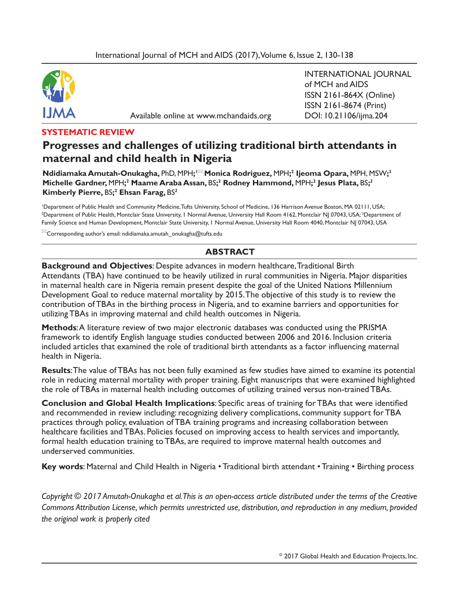

Available online at www.mchandaids.org DOI: 10.21106/ijma.204

INTERNATIONAL JOURNAL of MCH and AIDS ISSN 2161-864X (Online) ISSN 2161-8674 (Print)

#### **SYSTEMATIC REVIEW**

# **Progresses and challenges of utilizing traditional birth attendants in maternal and child health in Nigeria**

 $\blacksquare$  **M** Modrigalian Manutah-Onukagha, <code>PhD, MPH;' $^{\square\square}$ </code> Monica <code>Rodriguez, MPH; $^2$  Ijeoma Opara, MPH, MSW; $^3$ </code> **Michelle Gardner,** MPH**; 2 Maame Araba Assan,** BS**; 2 Rodney Hammond,** MPH**; 2 Jesus Plata,** BS**;** *2* **Kimberly Pierre,** BS**; 2 Ehsan Farag,** BS*<sup>2</sup>*

1 Department of Public Health and Community Medicine, Tufts University, School of Medicine, 136 Harrison Avenue Boston, MA 02111, USA; <sup>2</sup>Department of Public Health, Montclair State University, I Normal Avenue, University Hall Room 4162, Montclair NJ 07043, USA; <sup>3</sup>Department of Family Science and Human Development, Montclair State University, 1 Normal Avenue, University Hall Room 4040, Montclair NJ 07043, USA

 $^{\bowtie}$ Corresponding author's email: ndidiamaka.amutah\_onukagha@tufts.edu

### **ABSTRACT**

**Background and Objectives**: Despite advances in modern healthcare, Traditional Birth Attendants (TBA) have continued to be heavily utilized in rural communities in Nigeria. Major disparities in maternal health care in Nigeria remain present despite the goal of the United Nations Millennium Development Goal to reduce maternal mortality by 2015. The objective of this study is to review the contribution of TBAs in the birthing process in Nigeria, and to examine barriers and opportunities for utilizing TBAs in improving maternal and child health outcomes in Nigeria.

**Methods**: A literature review of two major electronic databases was conducted using the PRISMA framework to identify English language studies conducted between 2006 and 2016. Inclusion criteria included articles that examined the role of traditional birth attendants as a factor infuencing maternal health in Nigeria.

**Results**: The value of TBAs has not been fully examined as few studies have aimed to examine its potential role in reducing maternal mortality with proper training. Eight manuscripts that were examined highlighted the role of TBAs in maternal health including outcomes of utilizing trained versus non-trained TBAs.

**Conclusion and Global Health Implications**: Specifc areas of training for TBAs that were identifed and recommended in review including: recognizing delivery complications, community support for TBA practices through policy, evaluation of TBA training programs and increasing collaboration between healthcare facilities and TBAs. Policies focused on improving access to health services and importantly, formal health education training to TBAs, are required to improve maternal health outcomes and underserved communities.

**Key words:** Maternal and Child Health in Nigeria • Traditional birth attendant • Training • Birthing process

*Copyright © 2017 Amutah-Onukagha et al. This is an open-access article distributed under the terms of the Creative Commons Attribution License, which permits unrestricted use, distribution, and reproduction in any medium, provided the original work is properly cited*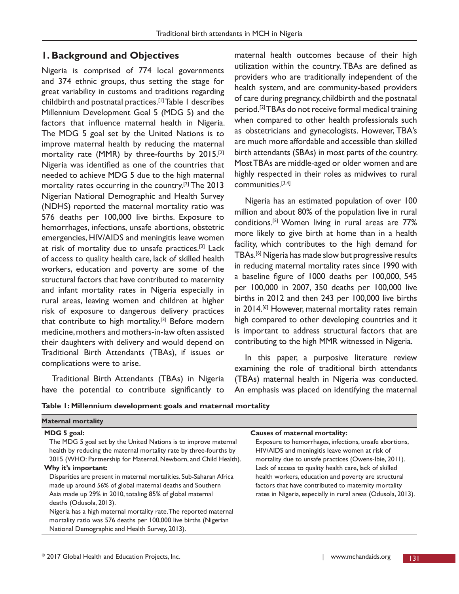### **1. Background and Objectives**

Nigeria is comprised of 774 local governments and 374 ethnic groups, thus setting the stage for great variability in customs and traditions regarding childbirth and postnatal practices.[1]Table 1 describes Millennium Development Goal 5 (MDG 5) and the factors that infuence maternal health in Nigeria. The MDG 5 goal set by the United Nations is to improve maternal health by reducing the maternal mortality rate (MMR) by three-fourths by 2015.[2] Nigeria was identifed as one of the countries that needed to achieve MDG 5 due to the high maternal mortality rates occurring in the country.[2] The 2013 Nigerian National Demographic and Health Survey (NDHS) reported the maternal mortality ratio was 576 deaths per 100,000 live births. Exposure to hemorrhages, infections, unsafe abortions, obstetric emergencies, HIV/AIDS and meningitis leave women at risk of mortality due to unsafe practices.[3] Lack of access to quality health care, lack of skilled health workers, education and poverty are some of the structural factors that have contributed to maternity and infant mortality rates in Nigeria especially in rural areas, leaving women and children at higher risk of exposure to dangerous delivery practices that contribute to high mortality.<sup>[3]</sup> Before modern medicine, mothers and mothers-in-law often assisted their daughters with delivery and would depend on Traditional Birth Attendants (TBAs), if issues or complications were to arise.

Traditional Birth Attendants (TBAs) in Nigeria have the potential to contribute signifcantly to

maternal health outcomes because of their high utilization within the country. TBAs are defned as providers who are traditionally independent of the health system, and are community-based providers of care during pregnancy, childbirth and the postnatal period.[2] TBAs do not receive formal medical training when compared to other health professionals such as obstetricians and gynecologists. However, TBA's are much more affordable and accessible than skilled birth attendants (SBAs) in most parts of the country. Most TBAs are middle-aged or older women and are highly respected in their roles as midwives to rural communities.[3,4]

Nigeria has an estimated population of over 100 million and about 80% of the population live in rural conditions.[5] Women living in rural areas are 77% more likely to give birth at home than in a health facility, which contributes to the high demand for TBAs.[6] Nigeria has made slow but progressive results in reducing maternal mortality rates since 1990 with a baseline fgure of 1000 deaths per 100,000, 545 per 100,000 in 2007, 350 deaths per 100,000 live births in 2012 and then 243 per 100,000 live births in 2014.<sup>[6]</sup> However, maternal mortality rates remain high compared to other developing countries and it is important to address structural factors that are contributing to the high MMR witnessed in Nigeria.

In this paper, a purposive literature review examining the role of traditional birth attendants (TBAs) maternal health in Nigeria was conducted. An emphasis was placed on identifying the maternal

**Table 1: Millennium development goals and maternal mortality**

| <b>Maternal mortality</b>                                                                                                                                                                                                                                                                                                                                                                                                                                                                                                                                                                                                                                              |                                                                                                                                                                                                                                                                                                                                                                                                                                              |
|------------------------------------------------------------------------------------------------------------------------------------------------------------------------------------------------------------------------------------------------------------------------------------------------------------------------------------------------------------------------------------------------------------------------------------------------------------------------------------------------------------------------------------------------------------------------------------------------------------------------------------------------------------------------|----------------------------------------------------------------------------------------------------------------------------------------------------------------------------------------------------------------------------------------------------------------------------------------------------------------------------------------------------------------------------------------------------------------------------------------------|
| MDG 5 goal:<br>The MDG 5 goal set by the United Nations is to improve maternal<br>health by reducing the maternal mortality rate by three-fourths by<br>2015 (WHO: Partnership for Maternal, Newborn, and Child Health).<br>Why it's important:<br>Disparities are present in maternal mortalities. Sub-Saharan Africa<br>made up around 56% of global maternal deaths and Southern<br>Asia made up 29% in 2010, totaling 85% of global maternal<br>deaths (Odusola, 2013).<br>Nigeria has a high maternal mortality rate. The reported maternal<br>mortality ratio was 576 deaths per 100,000 live births (Nigerian<br>National Demographic and Health Survey, 2013). | Causes of maternal mortality:<br>Exposure to hemorrhages, infections, unsafe abortions,<br>HIV/AIDS and meningitis leave women at risk of<br>mortality due to unsafe practices (Owens-Ibie, 2011).<br>Lack of access to quality health care, lack of skilled<br>health workers, education and poverty are structural<br>factors that have contributed to maternity mortality<br>rates in Nigeria, especially in rural areas (Odusola, 2013). |
|                                                                                                                                                                                                                                                                                                                                                                                                                                                                                                                                                                                                                                                                        |                                                                                                                                                                                                                                                                                                                                                                                                                                              |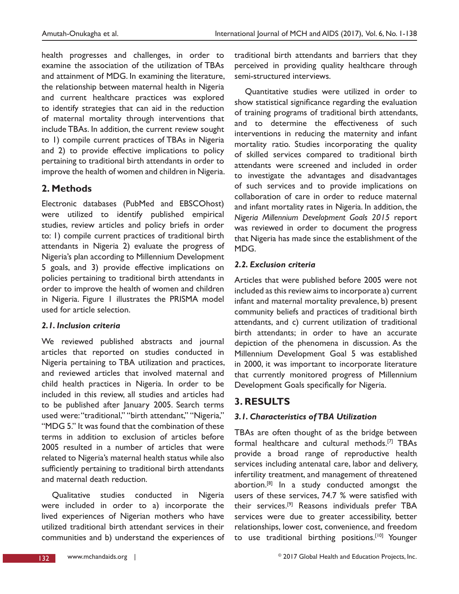health progresses and challenges, in order to examine the association of the utilization of TBAs and attainment of MDG. In examining the literature, the relationship between maternal health in Nigeria and current healthcare practices was explored to identify strategies that can aid in the reduction of maternal mortality through interventions that include TBAs. In addition, the current review sought to 1) compile current practices of TBAs in Nigeria and 2) to provide effective implications to policy pertaining to traditional birth attendants in order to improve the health of women and children in Nigeria.

## **2. Methods**

Electronic databases (PubMed and EBSCOhost) were utilized to identify published empirical studies, review articles and policy briefs in order to: 1) compile current practices of traditional birth attendants in Nigeria 2) evaluate the progress of Nigeria's plan according to Millennium Development 5 goals, and 3) provide effective implications on policies pertaining to traditional birth attendants in order to improve the health of women and children in Nigeria. Figure 1 illustrates the PRISMA model used for article selection.

### *2.1. Inclusion criteria*

We reviewed published abstracts and journal articles that reported on studies conducted in Nigeria pertaining to TBA utilization and practices, and reviewed articles that involved maternal and child health practices in Nigeria. In order to be included in this review, all studies and articles had to be published after January 2005. Search terms used were: "traditional," "birth attendant," "Nigeria," "MDG 5." It was found that the combination of these terms in addition to exclusion of articles before 2005 resulted in a number of articles that were related to Nigeria's maternal health status while also sufficiently pertaining to traditional birth attendants and maternal death reduction.

Qualitative studies conducted in Nigeria were included in order to a) incorporate the lived experiences of Nigerian mothers who have utilized traditional birth attendant services in their communities and b) understand the experiences of traditional birth attendants and barriers that they perceived in providing quality healthcare through semi-structured interviews.

Quantitative studies were utilized in order to show statistical signifcance regarding the evaluation of training programs of traditional birth attendants, and to determine the effectiveness of such interventions in reducing the maternity and infant mortality ratio. Studies incorporating the quality of skilled services compared to traditional birth attendants were screened and included in order to investigate the advantages and disadvantages of such services and to provide implications on collaboration of care in order to reduce maternal and infant mortality rates in Nigeria. In addition, the *Nigeria Millennium Development Goals 2015* report was reviewed in order to document the progress that Nigeria has made since the establishment of the MDG.

### *2.2. Exclusion criteria*

Articles that were published before 2005 were not included as this review aims to incorporate a) current infant and maternal mortality prevalence, b) present community beliefs and practices of traditional birth attendants, and c) current utilization of traditional birth attendants; in order to have an accurate depiction of the phenomena in discussion. As the Millennium Development Goal 5 was established in 2000, it was important to incorporate literature that currently monitored progress of Millennium Development Goals specifcally for Nigeria.

## **3. RESULTS**

### *3.1. Characteristics of TBA Utilization*

TBAs are often thought of as the bridge between formal healthcare and cultural methods.[7] TBAs provide a broad range of reproductive health services including antenatal care, labor and delivery, infertility treatment, and management of threatened abortion.<sup>[8]</sup> In a study conducted amongst the users of these services, 74.7 % were satisfed with their services.[9] Reasons individuals prefer TBA services were due to greater accessibility, better relationships, lower cost, convenience, and freedom to use traditional birthing positions.<sup>[10]</sup> Younger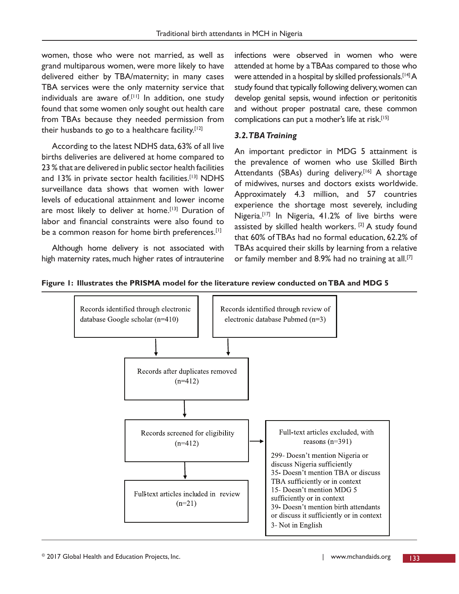women, those who were not married, as well as grand multiparous women, were more likely to have delivered either by TBA/maternity; in many cases TBA services were the only maternity service that individuals are aware of.<sup>[11]</sup> In addition, one study found that some women only sought out health care from TBAs because they needed permission from their husbands to go to a healthcare facility. $[12]$ 

According to the latest NDHS data, 63% of all live births deliveries are delivered at home compared to 23 % that are delivered in public sector health facilities and 13% in private sector health facilities.<sup>[13]</sup> NDHS surveillance data shows that women with lower levels of educational attainment and lower income are most likely to deliver at home.<sup>[13]</sup> Duration of labor and fnancial constraints were also found to be a common reason for home birth preferences.<sup>[1]</sup>

Although home delivery is not associated with high maternity rates, much higher rates of intrauterine infections were observed in women who were attended at home by a TBAas compared to those who were attended in a hospital by skilled professionals.<sup>[14]</sup> A study found that typically following delivery, women can develop genital sepsis, wound infection or peritonitis and without proper postnatal care, these common complications can put a mother's life at risk.<sup>[15]</sup>

#### *3.2. TBA Training*

An important predictor in MDG 5 attainment is the prevalence of women who use Skilled Birth Attendants (SBAs) during delivery.<sup>[16]</sup> A shortage of midwives, nurses and doctors exists worldwide. Approximately 4.3 million, and 57 countries experience the shortage most severely, including Nigeria.<sup>[17]</sup> In Nigeria, 41.2% of live births were assisted by skilled health workers. [2] A study found that 60% of TBAs had no formal education, 62.2% of TBAs acquired their skills by learning from a relative or family member and 8.9% had no training at all.<sup>[7]</sup>



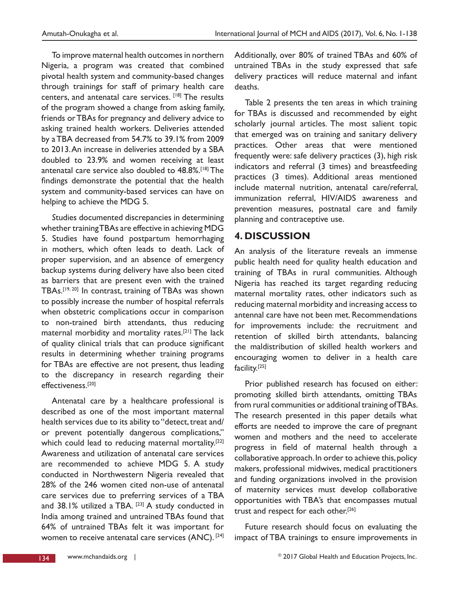To improve maternal health outcomes in northern Nigeria, a program was created that combined pivotal health system and community-based changes through trainings for staff of primary health care centers, and antenatal care services. [18] The results of the program showed a change from asking family, friends or TBAs for pregnancy and delivery advice to asking trained health workers. Deliveries attended by a TBA decreased from 54.7% to 39.1% from 2009 to 2013. An increase in deliveries attended by a SBA doubled to 23.9% and women receiving at least antenatal care service also doubled to 48.8%.[18] The fndings demonstrate the potential that the health system and community-based services can have on helping to achieve the MDG 5.

*S*tudies documented discrepancies in determining whether training TBAs are effective in achieving MDG 5. Studies have found postpartum hemorrhaging in mothers, which often leads to death. Lack of proper supervision, and an absence of emergency backup systems during delivery have also been cited as barriers that are present even with the trained TBAs.[19, 20] In contrast, training of TBAs was shown to possibly increase the number of hospital referrals when obstetric complications occur in comparison to non-trained birth attendants, thus reducing maternal morbidity and mortality rates.[21] The lack of quality clinical trials that can produce signifcant results in determining whether training programs for TBAs are effective are not present, thus leading to the discrepancy in research regarding their effectiveness.[20]

Antenatal care by a healthcare professional is described as one of the most important maternal health services due to its ability to "detect, treat and/ or prevent potentially dangerous complications," which could lead to reducing maternal mortality.<sup>[22]</sup> Awareness and utilization of antenatal care services are recommended to achieve MDG 5. A study conducted in Northwestern Nigeria revealed that 28% of the 246 women cited non-use of antenatal care services due to preferring services of a TBA and  $38.1\%$  utilized a TBA.  $[23]$  A study conducted in India among trained and untrained TBAs found that 64% of untrained TBAs felt it was important for women to receive antenatal care services (ANC). [24] Additionally, over 80% of trained TBAs and 60% of untrained TBAs in the study expressed that safe delivery practices will reduce maternal and infant deaths.

Table 2 presents the ten areas in which training for TBAs is discussed and recommended by eight scholarly journal articles. The most salient topic that emerged was on training and sanitary delivery practices. Other areas that were mentioned frequently were: safe delivery practices (3), high risk indicators and referral (3 times) and breastfeeding practices (3 times). Additional areas mentioned include maternal nutrition, antenatal care/referral, immunization referral, HIV/AIDS awareness and prevention measures, postnatal care and family planning and contraceptive use.

## **4. DISCUSSION**

An analysis of the literature reveals an immense public health need for quality health education and training of TBAs in rural communities. Although Nigeria has reached its target regarding reducing maternal mortality rates, other indicators such as reducing maternal morbidity and increasing access to antennal care have not been met. Recommendations for improvements include: the recruitment and retention of skilled birth attendants, balancing the maldistribution of skilled health workers and encouraging women to deliver in a health care facility.[25]

Prior published research has focused on either: promoting skilled birth attendants, omitting TBAs from rural communities or additional training of TBAs. The research presented in this paper details what efforts are needed to improve the care of pregnant women and mothers and the need to accelerate progress in feld of maternal health through a collaborative approach. In order to achieve this, policy makers, professional midwives, medical practitioners and funding organizations involved in the provision of maternity services must develop collaborative opportunities with TBA's that encompasses mutual trust and respect for each other.<sup>[26]</sup>

Future research should focus on evaluating the impact of TBA trainings to ensure improvements in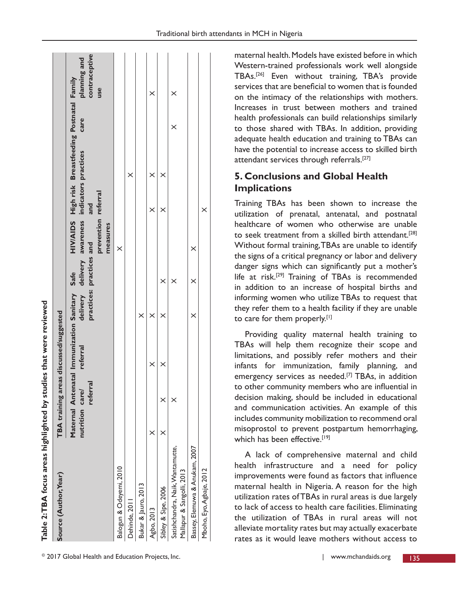| Table 2:TBA focus areas highlighted by studies that were reviewed |                |          |                                                           |                          |          |                                                                                     |          |                                                   |          |                                      |
|-------------------------------------------------------------------|----------------|----------|-----------------------------------------------------------|--------------------------|----------|-------------------------------------------------------------------------------------|----------|---------------------------------------------------|----------|--------------------------------------|
| Source (Author, Year)                                             |                |          | TBA training areas discussed/suggested                    |                          |          |                                                                                     |          |                                                   |          |                                      |
|                                                                   | nutrition care | referral | Maternal Antenatal Immunization Sanitary Safe<br>referral | practices: practices and |          | delivery delivery awareness indicators practices<br>prevention referral<br>measures | and      | HIV/AIDS High risk Breastfeeding Postnatal Family | care     | contraceptive<br>planning and<br>use |
| Balogun & Odeyemi, 2010                                           |                |          |                                                           |                          |          | $\times$                                                                            |          |                                                   |          |                                      |
| Dehinde, 2011                                                     |                |          |                                                           |                          |          |                                                                                     |          | $\times$                                          |          |                                      |
| Bukar & Jauro, 2013                                               |                |          |                                                           | $\times$                 |          |                                                                                     |          |                                                   |          |                                      |
| Agbo, 2013                                                        | ×              |          | ×                                                         | $\times$                 |          |                                                                                     | ×        | ×                                                 |          | ×                                    |
| Sibley & Sipe, 2006                                               |                | $\times$ | $\times$                                                  | $\times$                 | $\times$ |                                                                                     | $\times$ | $\times$                                          |          |                                      |
| Satishchandra, Naik, Wantamutte,<br>Mallapur & Sangolli, 2013     |                |          |                                                           |                          | $\times$ |                                                                                     |          |                                                   | $\times$ | $\times$                             |
| Bassey, Elemuwa & Anukam, 2007                                    |                |          |                                                           | ×                        | ×        | ×                                                                                   |          |                                                   |          |                                      |
| Mboho, Eyo, Agbaje, 2012                                          |                |          |                                                           |                          |          |                                                                                     | $\times$ |                                                   |          |                                      |

**2: TBA focus areas highlighted by studies that were reviewed** f ċ

maternal health. Models have existed before in which Western-trained professionals work well alongside TBAs.[26] Even without training, TBA's provide services that are beneficial to women that is founded on the intimacy of the relationships with mothers. Increases in trust between mothers and trained health professionals can build relationships similarly to those shared with TBAs. In addition, providing adequate health education and training to TBAs can have the potential to increase access to skilled birth attendant services through referrals.[27]

## **5. Conclusions and Global Health Implications**

Training TBAs has been shown to increase the utilization of prenatal, antenatal, and postnatal healthcare of women who otherwise are unable to seek treatment from a skilled birth attendant.<sup>[28]</sup> Without formal training, TBAs are unable to identify the signs of a critical pregnancy or labor and delivery danger signs which can signifcantly put a mother's life at risk.[29] Training of TBAs is recommended in addition to an increase of hospital births and informing women who utilize TBAs to request that they refer them to a health facility if they are unable to care for them properly.[1]

Providing quality maternal health training to TBAs will help them recognize their scope and limitations, and possibly refer mothers and their infants for immunization, family planning, and emergency services as needed.<sup>[7]</sup> TBAs, in addition to other community members who are infuential in decision making, should be included in educational and communication activities. An example of this includes community mobilization to recommend oral misoprostol to prevent postpartum hemorrhaging, which has been effective.<sup>[19]</sup>

A lack of comprehensive maternal and child health infrastructure and a need for policy improvements were found as factors that infuence maternal health in Nigeria. A reason for the high utilization rates of TBAs in rural areas is due largely to lack of access to health care facilities. Eliminating the utilization of TBAs in rural areas will not alleviate mortality rates but may actually exacerbate rates as it would leave mothers without access to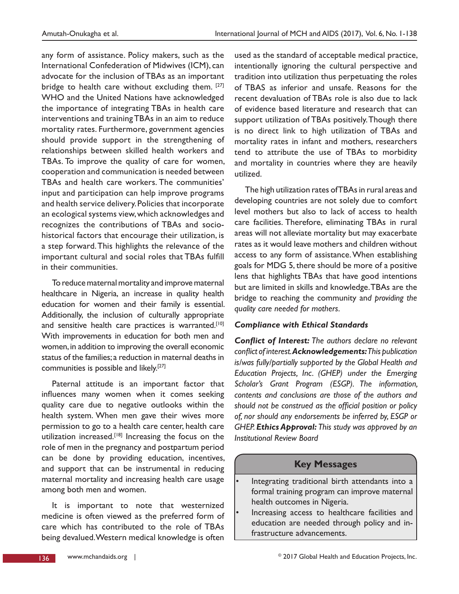any form of assistance. Policy makers, such as the International Confederation of Midwives (ICM), can advocate for the inclusion of TBAs as an important bridge to health care without excluding them. [27] WHO and the United Nations have acknowledged the importance of integrating TBAs in health care interventions and training TBAs in an aim to reduce mortality rates. Furthermore, government agencies should provide support in the strengthening of relationships between skilled health workers and TBAs. To improve the quality of care for women, cooperation and communication is needed between TBAs and health care workers. The communities' input and participation can help improve programs and health service delivery. Policies that incorporate an ecological systems view, which acknowledges and recognizes the contributions of TBAs and sociohistorical factors that encourage their utilization, is a step forward. This highlights the relevance of the important cultural and social roles that TBAs fulfll in their communities.

To reduce maternal mortality and improve maternal healthcare in Nigeria, an increase in quality health education for women and their family is essential. Additionally, the inclusion of culturally appropriate and sensitive health care practices is warranted.<sup>[10]</sup> With improvements in education for both men and women, in addition to improving the overall economic status of the families; a reduction in maternal deaths in communities is possible and likely.[27]

Paternal attitude is an important factor that infuences many women when it comes seeking quality care due to negative outlooks within the health system. When men gave their wives more permission to go to a health care center, health care utilization increased.<sup>[18]</sup> Increasing the focus on the role of men in the pregnancy and postpartum period can be done by providing education, incentives, and support that can be instrumental in reducing maternal mortality and increasing health care usage among both men and women.

It is important to note that westernized medicine is often viewed as the preferred form of care which has contributed to the role of TBAs being devalued. Western medical knowledge is often

used as the standard of acceptable medical practice, intentionally ignoring the cultural perspective and tradition into utilization thus perpetuating the roles of TBAS as inferior and unsafe. Reasons for the recent devaluation of TBAs role is also due to lack of evidence based literature and research that can support utilization of TBAs positively. Though there is no direct link to high utilization of TBAs and mortality rates in infant and mothers, researchers tend to attribute the use of TBAs to morbidity and mortality in countries where they are heavily utilized.

The high utilization rates of TBAs in rural areas and developing countries are not solely due to comfort level mothers but also to lack of access to health care facilities. Therefore, eliminating TBAs in rural areas will not alleviate mortality but may exacerbate rates as it would leave mothers and children without access to any form of assistance. When establishing goals for MDG 5, there should be more of a positive lens that highlights TBAs that have good intentions but are limited in skills and knowledge. TBAs are the bridge to reaching the community an*d providing the quality care needed for mothers.*

### *Compliance with Ethical Standards*

*Confict of Interest: The authors declare no relevant confict of interest. Acknowledgements: This publication is/was fully/partially supported by the Global Health and Education Projects, Inc. (GHEP) under the Emerging Scholar's Grant Program (ESGP). The information, contents and conclusions are those of the authors and*  should not be construed as the official position or policy *of, nor should any endorsements be inferred by, ESGP or GHEP. Ethics Approval: This study was approved by an Institutional Review Board*

## **Key Messages**

- Integrating traditional birth attendants into a formal training program can improve maternal health outcomes in Nigeria.
- Increasing access to healthcare facilities and education are needed through policy and infrastructure advancements.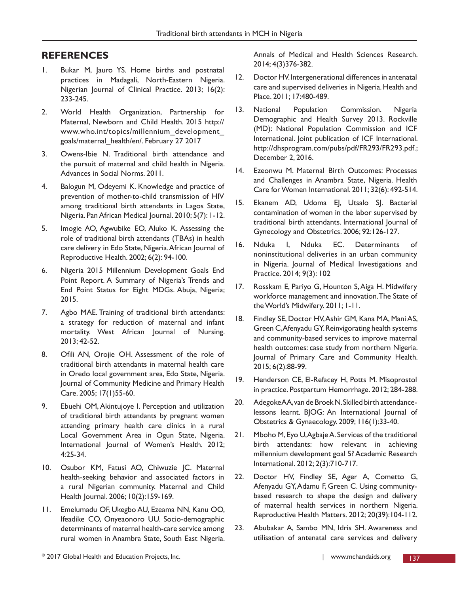## **REFERENCES**

- 1. Bukar M, Jauro YS. Home births and postnatal practices in Madagali, North-Eastern Nigeria. Nigerian Journal of Clinical Practice. 2013; 16(2): 233-245.
- 2. World Health Organization, Partnership for Maternal, Newborn and Child Health. 2015 http:// www.who.int/topics/millennium\_development\_ goals/maternal\_health/en/. February 27 2017
- 3. Owens-Ibie N. Traditional birth attendance and the pursuit of maternal and child health in Nigeria. Advances in Social Norms. 2011.
- 4. Balogun M, Odeyemi K. Knowledge and practice of prevention of mother-to-child transmission of HIV among traditional birth attendants in Lagos State, Nigeria. Pan African Medical Journal. 2010; 5(7): 1-12.
- 5. Imogie AO, Agwubike EO, Aluko K. Assessing the role of traditional birth attendants (TBAs) in health care delivery in Edo State, Nigeria. African Journal of Reproductive Health. 2002; 6(2): 94-100.
- 6. Nigeria 2015 Millennium Development Goals End Point Report. A Summary of Nigeria's Trends and End Point Status for Eight MDGs. Abuja, Nigeria; 2015.
- 7. Agbo MAE. Training of traditional birth attendants: a strategy for reduction of maternal and infant mortality. West African Journal of Nursing. 2013; 42-52.
- 8. Ofli AN, Orojie OH. Assessment of the role of traditional birth attendants in maternal health care in Oredo local government area, Edo State, Nigeria. Journal of Community Medicine and Primary Health Care. 2005; 17(1)55-60.
- 9. Ebuehi OM, Akintujoye I. Perception and utilization of traditional birth attendants by pregnant women attending primary health care clinics in a rural Local Government Area in Ogun State, Nigeria. International Journal of Women's Health. 2012; 4:25-34.
- 10. Osubor KM, Fatusi AO, Chiwuzie JC. Maternal health-seeking behavior and associated factors in a rural Nigerian community. Maternal and Child Health Journal. 2006; 10(2):159-169.
- 11. Emelumadu OF, Ukegbo AU, Ezeama NN, Kanu OO, Ifeadike CO, Onyeaonoro UU. Socio-demographic determinants of maternal health-care service among rural women in Anambra State, South East Nigeria.

Annals of Medical and Health Sciences Research. 2014; 4(3)376-382.

- 12. Doctor HV. Intergenerational differences in antenatal care and supervised deliveries in Nigeria. Health and Place. 2011; 17:480-489.
- 13. National Population Commission. Nigeria Demographic and Health Survey 2013. Rockville (MD): National Population Commission and ICF International. Joint publication of ICF International. http://dhsprogram.com/pubs/pdf/FR293/FR293.pdf.; December 2, 2016.
- 14. Ezeonwu M. Maternal Birth Outcomes: Processes and Challenges in Anambra State, Nigeria. Health Care for Women International. 2011; 32(6): 492-514.
- 15. Ekanem AD, Udoma EJ, Utsalo SJ. Bacterial contamination of women in the labor supervised by traditional birth attendants. International Journal of Gynecology and Obstetrics. 2006; 92:126-127.
- 16. Nduka I, Nduka EC. Determinants of noninstitutional deliveries in an urban community in Nigeria. Journal of Medical Investigations and Practice. 2014; 9(3): 102
- 17. Rosskam E, Pariyo G, Hounton S, Aiga H. Midwifery workforce management and innovation. The State of the World's Midwifery. 2011; 1-11.
- 18. Findley SE, Doctor HV, Ashir GM, Kana MA, Mani AS, Green C, Afenyadu GY. Reinvigorating health systems and community-based services to improve maternal health outcomes: case study from northern Nigeria. Journal of Primary Care and Community Health. 2015; 6(2):88-99.
- 19. Henderson CE, El-Refacey H, Potts M. Misoprostol in practice. Postpartum Hemorrhage. 2012; 284-288.
- 20. Adegoke AA, van de Broek N. Skilled birth attendancelessons learnt. BJOG: An International Journal of Obstetrics & Gynaecology. 2009; 116(1):33-40.
- 21. Mboho M, Eyo U, Agbaje A. Services of the traditional birth attendants: how relevant in achieving millennium development goal 5? Academic Research International. 2012; 2(3):710-717.
- 22. Doctor HV, Findley SE, Ager A, Cometto G, Afenyadu GY, Adamu F, Green C. Using communitybased research to shape the design and delivery of maternal health services in northern Nigeria. Reproductive Health Matters. 2012; 20(39):104-112.
- 23. Abubakar A, Sambo MN, Idris SH. Awareness and utilisation of antenatal care services and delivery